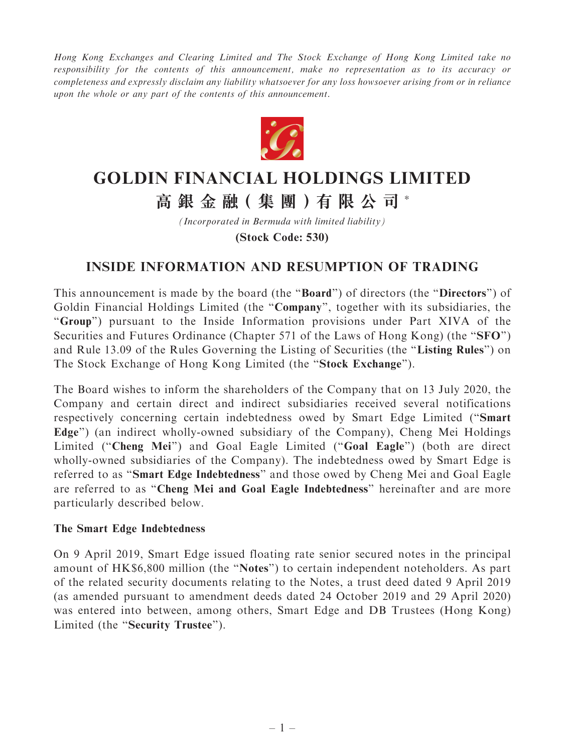Hong Kong Exchanges and Clearing Limited and The Stock Exchange of Hong Kong Limited take no responsibility for the contents of this announcement, make no representation as to its accuracy or completeness and expressly disclaim any liability whatsoever for any loss howsoever arising from or in reliance upon the whole or any part of the contents of this announcement.



# **GOLDIN FINANCIAL HOLDINGS LIMITED 高 銀 金 融( 集 團 )有 限 公 司** \*

*(Incorporated in Bermuda with limited liability)* **(Stock Code: 530)**

## INSIDE INFORMATION AND RESUMPTION OF TRADING

This announcement is made by the board (the ''Board'') of directors (the ''Directors'') of Goldin Financial Holdings Limited (the "Company", together with its subsidiaries, the "Group") pursuant to the Inside Information provisions under Part XIVA of the Securities and Futures Ordinance (Chapter 571 of the Laws of Hong Kong) (the "SFO") and Rule 13.09 of the Rules Governing the Listing of Securities (the "Listing Rules") on The Stock Exchange of Hong Kong Limited (the "Stock Exchange").

The Board wishes to inform the shareholders of the Company that on 13 July 2020, the Company and certain direct and indirect subsidiaries received several notifications respectively concerning certain indebtedness owed by Smart Edge Limited (''Smart Edge'') (an indirect wholly-owned subsidiary of the Company), Cheng Mei Holdings Limited ("Cheng Mei") and Goal Eagle Limited ("Goal Eagle") (both are direct wholly-owned subsidiaries of the Company). The indebtedness owed by Smart Edge is referred to as ''Smart Edge Indebtedness'' and those owed by Cheng Mei and Goal Eagle are referred to as ''Cheng Mei and Goal Eagle Indebtedness'' hereinafter and are more particularly described below.

## The Smart Edge Indebtedness

On 9 April 2019, Smart Edge issued floating rate senior secured notes in the principal amount of HK\$6,800 million (the ''Notes'') to certain independent noteholders. As part of the related security documents relating to the Notes, a trust deed dated 9 April 2019 (as amended pursuant to amendment deeds dated 24 October 2019 and 29 April 2020) was entered into between, among others, Smart Edge and DB Trustees (Hong Kong) Limited (the "Security Trustee").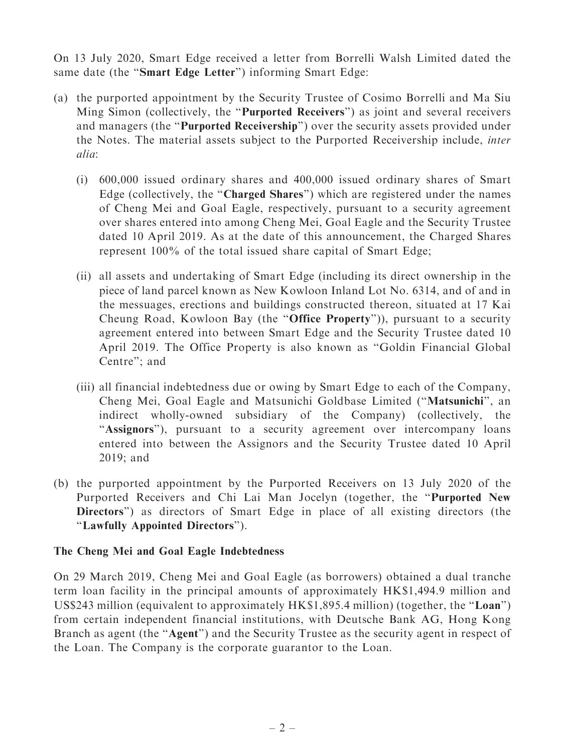On 13 July 2020, Smart Edge received a letter from Borrelli Walsh Limited dated the same date (the "Smart Edge Letter") informing Smart Edge:

- (a) the purported appointment by the Security Trustee of Cosimo Borrelli and Ma Siu Ming Simon (collectively, the ''Purported Receivers'') as joint and several receivers and managers (the ''Purported Receivership'') over the security assets provided under the Notes. The material assets subject to the Purported Receivership include, inter alia:
	- (i) 600,000 issued ordinary shares and 400,000 issued ordinary shares of Smart Edge (collectively, the "Charged Shares") which are registered under the names of Cheng Mei and Goal Eagle, respectively, pursuant to a security agreement over shares entered into among Cheng Mei, Goal Eagle and the Security Trustee dated 10 April 2019. As at the date of this announcement, the Charged Shares represent 100% of the total issued share capital of Smart Edge;
	- (ii) all assets and undertaking of Smart Edge (including its direct ownership in the piece of land parcel known as New Kowloon Inland Lot No. 6314, and of and in the messuages, erections and buildings constructed thereon, situated at 17 Kai Cheung Road, Kowloon Bay (the ''Office Property'')), pursuant to a security agreement entered into between Smart Edge and the Security Trustee dated 10 April 2019. The Office Property is also known as ''Goldin Financial Global Centre''; and
	- (iii) all financial indebtedness due or owing by Smart Edge to each of the Company, Cheng Mei, Goal Eagle and Matsunichi Goldbase Limited (''Matsunichi'', an indirect wholly-owned subsidiary of the Company) (collectively, the "Assignors"), pursuant to a security agreement over intercompany loans entered into between the Assignors and the Security Trustee dated 10 April 2019; and
- (b) the purported appointment by the Purported Receivers on 13 July 2020 of the Purported Receivers and Chi Lai Man Jocelyn (together, the ''Purported New Directors") as directors of Smart Edge in place of all existing directors (the ''Lawfully Appointed Directors'').

## The Cheng Mei and Goal Eagle Indebtedness

On 29 March 2019, Cheng Mei and Goal Eagle (as borrowers) obtained a dual tranche term loan facility in the principal amounts of approximately HK\$1,494.9 million and US\$243 million (equivalent to approximately HK\$1,895.4 million) (together, the ''Loan'') from certain independent financial institutions, with Deutsche Bank AG, Hong Kong Branch as agent (the "Agent") and the Security Trustee as the security agent in respect of the Loan. The Company is the corporate guarantor to the Loan.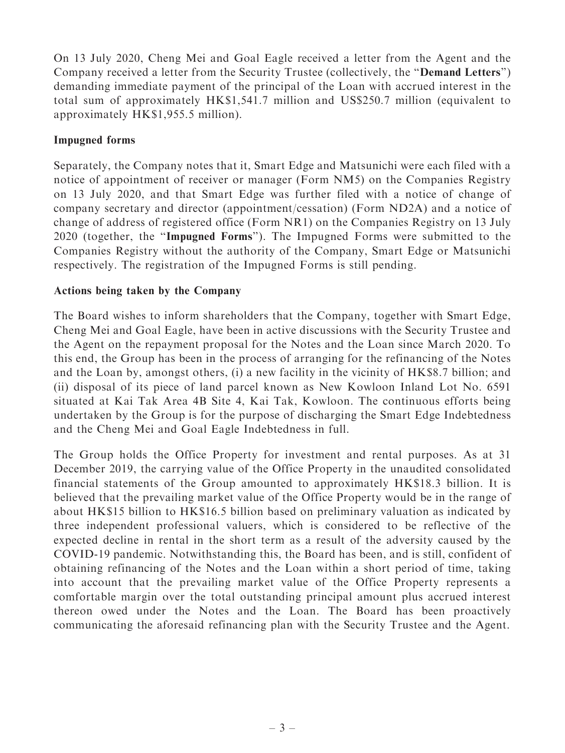On 13 July 2020, Cheng Mei and Goal Eagle received a letter from the Agent and the Company received a letter from the Security Trustee (collectively, the ''Demand Letters'') demanding immediate payment of the principal of the Loan with accrued interest in the total sum of approximately HK\$1,541.7 million and US\$250.7 million (equivalent to approximately HK\$1,955.5 million).

## Impugned forms

Separately, the Company notes that it, Smart Edge and Matsunichi were each filed with a notice of appointment of receiver or manager (Form NM5) on the Companies Registry on 13 July 2020, and that Smart Edge was further filed with a notice of change of company secretary and director (appointment/cessation) (Form ND2A) and a notice of change of address of registered office (Form NR1) on the Companies Registry on 13 July 2020 (together, the ''Impugned Forms''). The Impugned Forms were submitted to the Companies Registry without the authority of the Company, Smart Edge or Matsunichi respectively. The registration of the Impugned Forms is still pending.

## Actions being taken by the Company

The Board wishes to inform shareholders that the Company, together with Smart Edge, Cheng Mei and Goal Eagle, have been in active discussions with the Security Trustee and the Agent on the repayment proposal for the Notes and the Loan since March 2020. To this end, the Group has been in the process of arranging for the refinancing of the Notes and the Loan by, amongst others, (i) a new facility in the vicinity of HK\$8.7 billion; and (ii) disposal of its piece of land parcel known as New Kowloon Inland Lot No. 6591 situated at Kai Tak Area 4B Site 4, Kai Tak, Kowloon. The continuous efforts being undertaken by the Group is for the purpose of discharging the Smart Edge Indebtedness and the Cheng Mei and Goal Eagle Indebtedness in full.

The Group holds the Office Property for investment and rental purposes. As at 31 December 2019, the carrying value of the Office Property in the unaudited consolidated financial statements of the Group amounted to approximately HK\$18.3 billion. It is believed that the prevailing market value of the Office Property would be in the range of about HK\$15 billion to HK\$16.5 billion based on preliminary valuation as indicated by three independent professional valuers, which is considered to be reflective of the expected decline in rental in the short term as a result of the adversity caused by the COVID-19 pandemic. Notwithstanding this, the Board has been, and is still, confident of obtaining refinancing of the Notes and the Loan within a short period of time, taking into account that the prevailing market value of the Office Property represents a comfortable margin over the total outstanding principal amount plus accrued interest thereon owed under the Notes and the Loan. The Board has been proactively communicating the aforesaid refinancing plan with the Security Trustee and the Agent.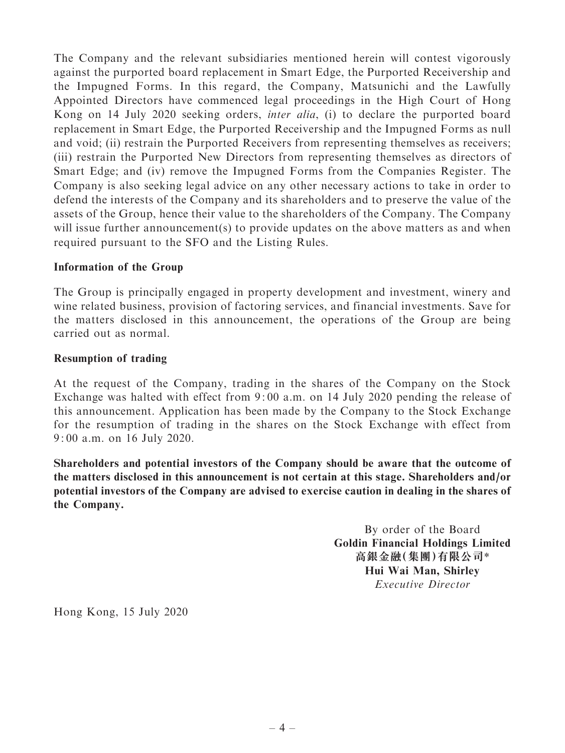The Company and the relevant subsidiaries mentioned herein will contest vigorously against the purported board replacement in Smart Edge, the Purported Receivership and the Impugned Forms. In this regard, the Company, Matsunichi and the Lawfully Appointed Directors have commenced legal proceedings in the High Court of Hong Kong on 14 July 2020 seeking orders, inter alia, (i) to declare the purported board replacement in Smart Edge, the Purported Receivership and the Impugned Forms as null and void; (ii) restrain the Purported Receivers from representing themselves as receivers; (iii) restrain the Purported New Directors from representing themselves as directors of Smart Edge; and (iv) remove the Impugned Forms from the Companies Register. The Company is also seeking legal advice on any other necessary actions to take in order to defend the interests of the Company and its shareholders and to preserve the value of the assets of the Group, hence their value to the shareholders of the Company. The Company will issue further announcement(s) to provide updates on the above matters as and when required pursuant to the SFO and the Listing Rules.

## Information of the Group

The Group is principally engaged in property development and investment, winery and wine related business, provision of factoring services, and financial investments. Save for the matters disclosed in this announcement, the operations of the Group are being carried out as normal.

## Resumption of trading

At the request of the Company, trading in the shares of the Company on the Stock Exchange was halted with effect from 9: 00 a.m. on 14 July 2020 pending the release of this announcement. Application has been made by the Company to the Stock Exchange for the resumption of trading in the shares on the Stock Exchange with effect from 9: 00 a.m. on 16 July 2020.

Shareholders and potential investors of the Company should be aware that the outcome of the matters disclosed in this announcement is not certain at this stage. Shareholders and/or potential investors of the Company are advised to exercise caution in dealing in the shares of the Company.

> By order of the Board Goldin Financial Holdings Limited 高銀金融(集團)有限公司\* Hui Wai Man, Shirley Executive Director

Hong Kong, 15 July 2020